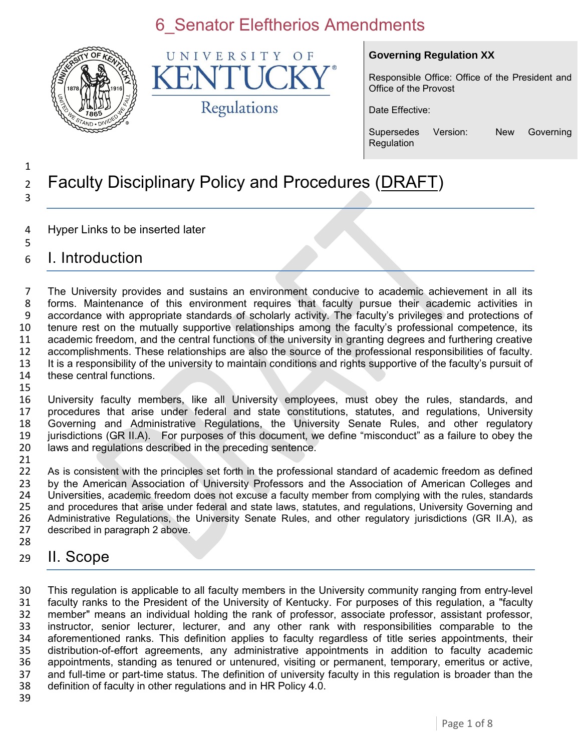

UNIVERSITY  $\Omega$  F K Regulations

#### **Governing Regulation XX**

Responsible Office: Office of the President and Office of the Provost

Date Effective:

Supersedes Version: New Governing Regulation

#### 1 <sup>2</sup> Faculty Disciplinary Policy and Procedures (DRAFT) 3

- 4 Hyper Links to be inserted later
- 6 I. Introduction

5

 The University provides and sustains an environment conducive to academic achievement in all its forms. Maintenance of this environment requires that faculty pursue their academic activities in accordance with appropriate standards of scholarly activity. The faculty's privileges and protections of tenure rest on the mutually supportive relationships among the faculty's professional competence, its academic freedom, and the central functions of the university in granting degrees and furthering creative accomplishments. These relationships are also the source of the professional responsibilities of faculty. It is a responsibility of the university to maintain conditions and rights supportive of the faculty's pursuit of these central functions. 15

 University faculty members, like all University employees, must obey the rules, standards, and procedures that arise under federal and state constitutions, statutes, and regulations, University Governing and Administrative Regulations, the University Senate Rules, and other regulatory jurisdictions (GR II.A). For purposes of this document, we define "misconduct" as a failure to obey the laws and regulations described in the preceding sentence.

21<br>22 As is consistent with the principles set forth in the professional standard of academic freedom as defined 23 by the American Association of University Professors and the Association of American Colleges and<br>24 Universities, academic freedom does not excuse a faculty member from complying with the rules, standards 24 Universities, academic freedom does not excuse a faculty member from complying with the rules, standards<br>25 and procedures that arise under federal and state laws, statutes, and regulations, University Governing and 25 and procedures that arise under federal and state laws, statutes, and regulations, University Governing and<br>26 Administrative Regulations, the University Senate Rules, and other regulatory jurisdictions (GR II.A), as 26 Administrative Regulations, the University Senate Rules, and other regulatory jurisdictions (GR II.A), as 27 described in paragraph 2 above. described in paragraph 2 above. 28

29 II. Scope

 This regulation is applicable to all faculty members in the University community ranging from entry-level faculty ranks to the President of the University of Kentucky. For purposes of this regulation, a "faculty member" means an individual holding the rank of professor, associate professor, assistant professor, instructor, senior lecturer, lecturer, and any other rank with responsibilities comparable to the aforementioned ranks. This definition applies to faculty regardless of title series appointments, their distribution-of-effort agreements, any administrative appointments in addition to faculty academic 36 appointments, standing as tenured or untenured, visiting or permanent, temporary, emeritus or active, 37 and full-time or part-time status. The definition of university faculty in this regulation is broader than the and full-time or part-time status. The definition of university faculty in this regulation is broader than the definition of faculty in other regulations and in HR Policy 4.0.

39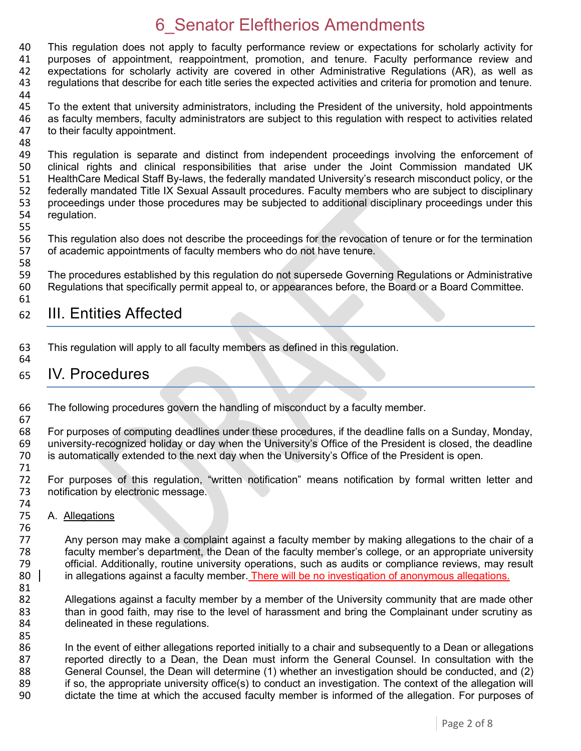40 This regulation does not apply to faculty performance review or expectations for scholarly activity for 41 purposes of appointment, reappointment, promotion, and tenure, Faculty performance review and purposes of appointment, reappointment, promotion, and tenure. Faculty performance review and expectations for scholarly activity are covered in other Administrative Regulations (AR), as well as regulations that describe for each title series the expected activities and criteria for promotion and tenure.

45 To the extent that university administrators, including the President of the university, hold appointments 46 as faculty members, faculty administrators are subject to this regulation with respect to activities related 47 to their faculty appointment. to their faculty appointment.

- 48<br>49 49 This regulation is separate and distinct from independent proceedings involving the enforcement of 400 Clinical rights and clinical responsibilities that arise under the Joint Commission mandated UK clinical rights and clinical responsibilities that arise under the Joint Commission mandated UK 51 HealthCare Medical Staff By-laws, the federally mandated University's research misconduct policy, or the 52 federally mandated Title IX Sexual Assault procedures. Faculty members who are subject to disciplinary<br>53 proceedings under those procedures may be subjected to additional disciplinary proceedings under this 53 proceedings under those procedures may be subjected to additional disciplinary proceedings under this 54 requidation. regulation.
- 55

58

67

44

56 This regulation also does not describe the proceedings for the revocation of tenure or for the termination<br>57 of academic appointments of faculty members who do not have tenure. of academic appointments of faculty members who do not have tenure.

59 The procedures established by this regulation do not supersede Governing Regulations or Administrative 60 Regulations that specifically permit appeal to, or appearances before, the Board or a Board Committee. 61

#### 62 III. Entities Affected

63 This regulation will apply to all faculty members as defined in this regulation. 64

#### 65 IV. Procedures

66 The following procedures govern the handling of misconduct by a faculty member.

68 For purposes of computing deadlines under these procedures, if the deadline falls on a Sunday, Monday, 69 university-recognized holiday or day when the University's Office of the President is closed, the deadline university-recognized holiday or day when the University's Office of the President is closed, the deadline 70 is automatically extended to the next day when the University's Office of the President is open.

71 For purposes of this regulation, "written notification" means notification by formal written letter and 73 notification by electronic message.

74<br>75 A. Allegations

76<br>77 Any person may make a complaint against a faculty member by making allegations to the chair of a 78 faculty member's department, the Dean of the faculty member's college, or an appropriate university 79 official. Additionally, routine university operations, such as audits or compliance reviews, may result 80 in allegations against a faculty member. There will be no investigation of anonymous allegations.

81<br>82 82 Allegations against a faculty member by a member of the University community that are made other<br>83 than in good faith, may rise to the level of harassment and bring the Complainant under scrutiny as than in good faith, may rise to the level of harassment and bring the Complainant under scrutiny as 84 delineated in these regulations.

85<br>86 In the event of either allegations reported initially to a chair and subsequently to a Dean or allegations 87 reported directly to a Dean, the Dean must inform the General Counsel. In consultation with the 88 General Counsel, the Dean will determine (1) whether an investigation should be conducted, and (2) <br>89 if so, the appropriate university office(s) to conduct an investigation. The context of the allegation will 89 if so, the appropriate university office(s) to conduct an investigation. The context of the allegation will<br>90 dictate the time at which the accused faculty member is informed of the allegation. For purposes of dictate the time at which the accused faculty member is informed of the allegation. For purposes of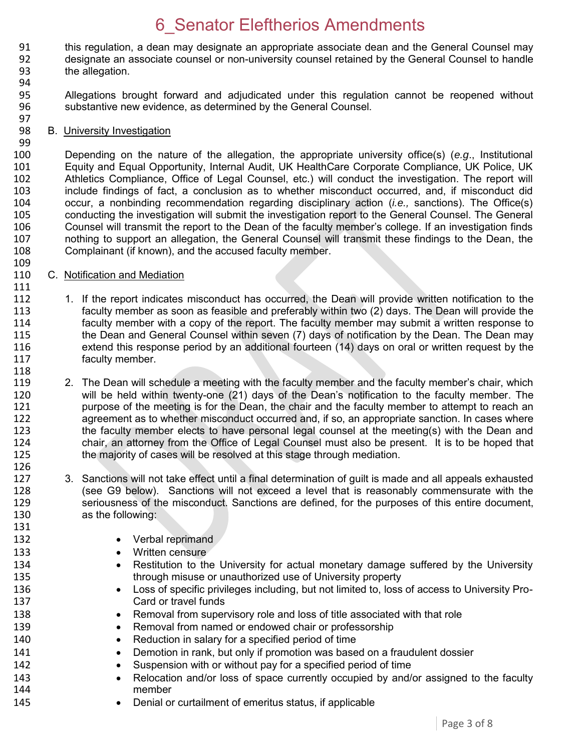- 91 this regulation, a dean may designate an appropriate associate dean and the General Counsel may<br>92 designate an associate counsel or non-university counsel retained by the General Counsel to handle designate an associate counsel or non-university counsel retained by the General Counsel to handle 93 the allegation.
- 94

99

109

111

131

- 95 Allegations brought forward and adjudicated under this regulation cannot be reopened without 96 substantive new evidence, as determined by the General Counsel.
- 97<br>98 B. University Investigation

100 Depending on the nature of the allegation, the appropriate university office(s) (*e.g*., Institutional Equity and Equal Opportunity, Internal Audit, UK HealthCare Corporate Compliance, UK Police, UK 102 Athletics Compliance, Office of Legal Counsel, etc.) will conduct the investigation. The report will 103 include findings of fact, a conclusion as to whether misconduct occurred, and, if misconduct did<br>104 occur. a nonbinding recommendation regarding disciplinary action *(i.e.*, sanctions). The Office(s) 104 occur, a nonbinding recommendation regarding disciplinary action (*i.e.,* sanctions). The Office(s) 105 conducting the investigation will submit the investigation report to the General Counsel. The General<br>106 Counsel will transmit the report to the Dean of the faculty member's college. If an investigation finds 106 Counsel will transmit the report to the Dean of the faculty member's college. If an investigation finds 107 nothing to support an allegation, the General Counsel will transmit these findings to the Dean, the 108 complainant (if known), and the accused faculty member. Complainant (if known), and the accused faculty member.

- 110 C. Notification and Mediation
- 112 1. If the report indicates misconduct has occurred, the Dean will provide written notification to the 113 faculty member as soon as feasible and preferably within two (2) days. The Dean will provide the<br>114 faculty member with a copy of the report. The faculty member may submit a written response to 114 faculty member with a copy of the report. The faculty member may submit a written response to<br>115 the Dean and General Counsel within seven (7) days of notification by the Dean. The Dean may the Dean and General Counsel within seven (7) days of notification by the Dean. The Dean may 116 extend this response period by an additional fourteen (14) days on oral or written request by the 117 faculty member. 118
- 119 2. The Dean will schedule a meeting with the faculty member and the faculty member's chair, which<br>120 will be held within twenty-one (21) days of the Dean's notification to the faculty member. The 120 will be held within twenty-one (21) days of the Dean's notification to the faculty member. The<br>121 http://www.purpose of the meeting is for the Dean, the chair and the faculty member to attempt to reach an 121 purpose of the meeting is for the Dean, the chair and the faculty member to attempt to reach an<br>122 an agreement as to whether misconduct occurred and, if so, an appropriate sanction. In cases where agreement as to whether misconduct occurred and, if so, an appropriate sanction. In cases where 123 the faculty member elects to have personal legal counsel at the meeting(s) with the Dean and 124 chair, an attorney from the Office of Legal Counsel must also be present. It is to be hoped that 125 the majority of cases will be resolved at this stage through mediation. the majority of cases will be resolved at this stage through mediation. 126
- 127 3. Sanctions will not take effect until a final determination of guilt is made and all appeals exhausted 128 (see G9 below). Sanctions will not exceed a level that is reasonably commensurate with the 129 seriousness of the misconduct. Sanctions are defined, for the purposes of this entire document, 130 as the following:
- 132 **•** Verbal reprimand
- 133 **Written censure**
- 134 **•** Restitution to the University for actual monetary damage suffered by the University 135 through misuse or unauthorized use of University property
- 136 **Loss of specific privileges including, but not limited to, loss of access to University Pro-**137 Card or travel funds
- 138 **••** Removal from supervisory role and loss of title associated with that role
- 139 **Removal from named or endowed chair or professorship**
- 140 Reduction in salary for a specified period of time
- 141 **Demotion in rank, but only if promotion was based on a fraudulent dossier**
- 142 Suspension with or without pay for a specified period of time
- 143 
Relocation and/or loss of space currently occupied by and/or assigned to the faculty<br>
144 member
- 145 **•** Denial or curtailment of emeritus status, if applicable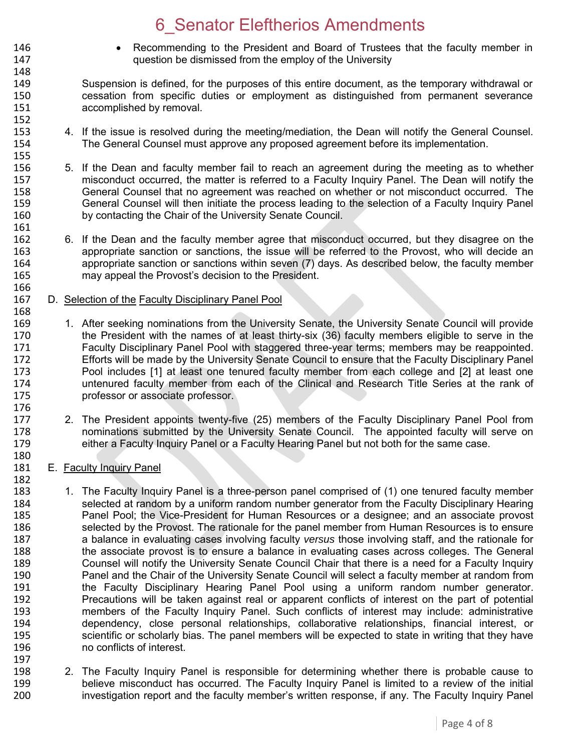- 146 Recommending to the President and Board of Trustees that the faculty member in<br>147 **147** auestion be dismissed from the employ of the University question be dismissed from the employ of the University
- 149 Suspension is defined, for the purposes of this entire document, as the temporary withdrawal or 150 cessation from specific duties or employment as distinguished from permanent severance 151 accomplished by removal. 152<br>153
- 4. If the issue is resolved during the meeting/mediation, the Dean will notify the General Counsel. 154 The General Counsel must approve any proposed agreement before its implementation.
- 155<br>156 5. If the Dean and faculty member fail to reach an agreement during the meeting as to whether 157 misconduct occurred, the matter is referred to a Faculty Inquiry Panel. The Dean will notify the 158 General Counsel that no agreement was reached on whether or not misconduct occurred. The<br>159 General Counsel will then initiate the process leading to the selection of a Faculty Inquiry Panel 159 General Counsel will then initiate the process leading to the selection of a Faculty Inquiry Panel<br>160 by contacting the Chair of the University Senate Council. by contacting the Chair of the University Senate Council.
- 162 6. If the Dean and the faculty member agree that misconduct occurred, but they disagree on the<br>163 **163** appropriate sanction or sanctions, the issue will be referred to the Provost, who will decide an appropriate sanction or sanctions, the issue will be referred to the Provost, who will decide an 164 appropriate sanction or sanctions within seven (7) days. As described below, the faculty member 165 may appeal the Provost's decision to the President.
- 166<br>167 D. Selection of the Faculty Disciplinary Panel Pool
- 168<br>169 1. After seeking nominations from the University Senate, the University Senate Council will provide 170 the President with the names of at least thirty-six (36) faculty members eligible to serve in the 171 Faculty Disciplinary Panel Pool with staggered three-year terms; members may be reappointed.<br>172 Ffforts will be made by the University Senate Council to ensure that the Faculty Disciplinary Panel Efforts will be made by the University Senate Council to ensure that the Faculty Disciplinary Panel 173 Pool includes [1] at least one tenured faculty member from each college and [2] at least one 174 untenured faculty member from each of the Clinical and Research Title Series at the rank of 175 professor or associate professor. 176<br>177
- 2. The President appoints twenty-five (25) members of the Faculty Disciplinary Panel Pool from 178 nominations submitted by the University Senate Council. The appointed faculty will serve on 179 either a Faculty Inquiry Panel or a Faculty Hearing Panel but not both for the same case.
- 180<br>181 E. Faculty Inquiry Panel

148

161<br>162

- 182<br>183 1. The Faculty Inquiry Panel is a three-person panel comprised of (1) one tenured faculty member 184 selected at random by a uniform random number generator from the Faculty Disciplinary Hearing<br>185 **1888** Panel Pool: the Vice-President for Human Resources or a designee: and an associate provost 185 Panel Pool; the Vice-President for Human Resources or a designee; and an associate provost 186<br>186 Selected by the Provost. The rationale for the panel member from Human Resources is to ensure selected by the Provost. The rationale for the panel member from Human Resources is to ensure 187 a balance in evaluating cases involving faculty *versus* those involving staff, and the rationale for 188 the associate provost is to ensure a balance in evaluating cases across colleges. The General 189 Counsel will notify the University Senate Council Chair that there is a need for a Faculty Inquiry 190 Panel and the Chair of the University Senate Council will select a faculty member at random from 191 the Faculty Disciplinary Hearing Panel Pool using a uniform random number generator. 192 Precautions will be taken against real or apparent conflicts of interest on the part of potential<br>193 **IED Entior Concilists** of the Faculty Inquiry Panel. Such conflicts of interest may include: administrative members of the Faculty Inquiry Panel. Such conflicts of interest may include: administrative 194 dependency, close personal relationships, collaborative relationships, financial interest, or 195 scientific or scholarly bias. The panel members will be expected to state in writing that they have 196 no conflicts of interest. 197
- 198 2. The Faculty Inquiry Panel is responsible for determining whether there is probable cause to<br>199 http://www.believe misconduct has occurred. The Faculty Inquiry Panel is limited to a review of the initial 199 believe misconduct has occurred. The Faculty Inquiry Panel is limited to a review of the initial<br>100 http://www.investigation report and the faculty member's written response, if any. The Faculty Inquiry Pane investigation report and the faculty member's written response, if any. The Faculty Inquiry Panel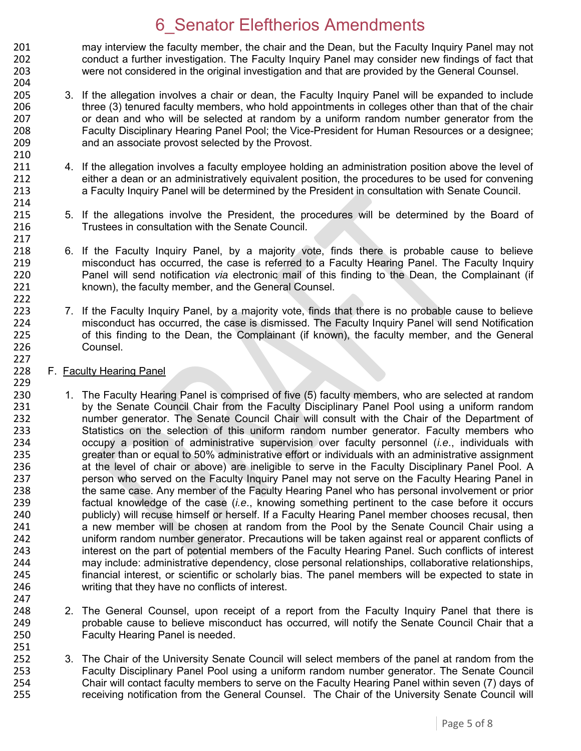201 may interview the faculty member, the chair and the Dean, but the Faculty Inquiry Panel may not<br>202 conduct a further investigation. The Faculty Inquiry Panel may consider new findings of fact that 202 conduct a further investigation. The Faculty Inquiry Panel may consider new findings of fact that 203 were not considered in the original investigation and that are provided by the General Counsel. 204

- 205 3. If the allegation involves a chair or dean, the Faculty Inquiry Panel will be expanded to include 206 three (3) tenured faculty members, who hold appointments in colleges other than that of the chair 207 or dean and who will be selected at random by a uniform random number generator from the<br>208 **19. Eaculty Disciplinary Hearing Panel Pool**: the Vice-President for Human Resources or a designee: 208 Faculty Disciplinary Hearing Panel Pool; the Vice-President for Human Resources or a designee; 209 and an associate provost selected by the Provost.
- 4. If the allegation involves a faculty employee holding an administration position above the level of 212 either a dean or an administratively equivalent position, the procedures to be used for convening 213 a Faculty Inquiry Panel will be determined by the President in consultation with Senate Council.
- 215 5. If the allegations involve the President, the procedures will be determined by the Board of 216 Trustees in consultation with the Senate Council.
- 6. If the Faculty Inquiry Panel, by a majority vote, finds there is probable cause to believe 219 misconduct has occurred, the case is referred to a Faculty Hearing Panel. The Faculty Inquiry 220 Panel will send notification *via* electronic mail of this finding to the Dean, the Complainant (if 221 known), the faculty member, and the General Counsel.
- 223 7. If the Faculty Inquiry Panel, by a majority vote, finds that there is no probable cause to believe<br>224 misconduct has occurred, the case is dismissed. The Faculty Inquiry Panel will send Notification 224 misconduct has occurred, the case is dismissed. The Faculty Inquiry Panel will send Notification<br>225 of this finding to the Dean, the Complainant (if known), the faculty member, and the General 225 of this finding to the Dean, the Complainant (if known), the faculty member, and the General 226 Counsel.
- 228 F. Faculty Hearing Panel

210<br>211

214<br>215

217<br>218

222

227

- 229<br>230 230 1. The Faculty Hearing Panel is comprised of five (5) faculty members, who are selected at random<br>231 by the Senate Council Chair from the Faculty Disciplinary Panel Pool using a uniform random 231 by the Senate Council Chair from the Faculty Disciplinary Panel Pool using a uniform random<br>232 humber generator. The Senate Council Chair will consult with the Chair of the Department of number generator. The Senate Council Chair will consult with the Chair of the Department of 233 Statistics on the selection of this uniform random number generator. Faculty members who 234 occupy a position of administrative supervision over faculty personnel (*i.e*., individuals with 235 greater than or equal to 50% administrative effort or individuals with an administrative assignment 236 at the level of chair or above) are ineligible to serve in the Faculty Disciplinary Panel Pool. A 237 person who served on the Faculty Inquiry Panel may not serve on the Faculty Hearing Panel in 238 the same case. Any member of the Faculty Hearing Panel who has personal involvement or prior 239 factual knowledge of the case (*i.e*., knowing something pertinent to the case before it occurs 240 publicly) will recuse himself or herself. If a Faculty Hearing Panel member chooses recusal, then<br>241 anew member will be chosen at random from the Pool by the Senate Council Chair using a a new member will be chosen at random from the Pool by the Senate Council Chair using a 242 uniform random number generator. Precautions will be taken against real or apparent conflicts of 243 interest on the part of potential members of the Faculty Hearing Panel. Such conflicts of interest 244 may include: administrative dependency, close personal relationships, collaborative relationships,<br>245 financial interest, or scientific or scholarly bias. The panel members will be expected to state in financial interest, or scientific or scholarly bias. The panel members will be expected to state in 246 writing that they have no conflicts of interest. 247
- 248 248 2. The General Counsel, upon receipt of a report from the Faculty Inquiry Panel that there is 249 probable cause to believe misconduct has occurred, will notify the Senate Council Chair that a 250 Faculty Hearing Panel is needed.
- 251 252 3. The Chair of the University Senate Council will select members of the panel at random from the<br>253 Faculty Disciplinary Panel Pool using a uniform random number generator. The Senate Council 253 Faculty Disciplinary Panel Pool using a uniform random number generator. The Senate Council<br>254 Chair will contact faculty members to serve on the Faculty Hearing Panel within seven (7) days of 254 Chair will contact faculty members to serve on the Faculty Hearing Panel within seven (7) days of 255 receiving notification from the General Counsel. The Chair of the University Senate Council will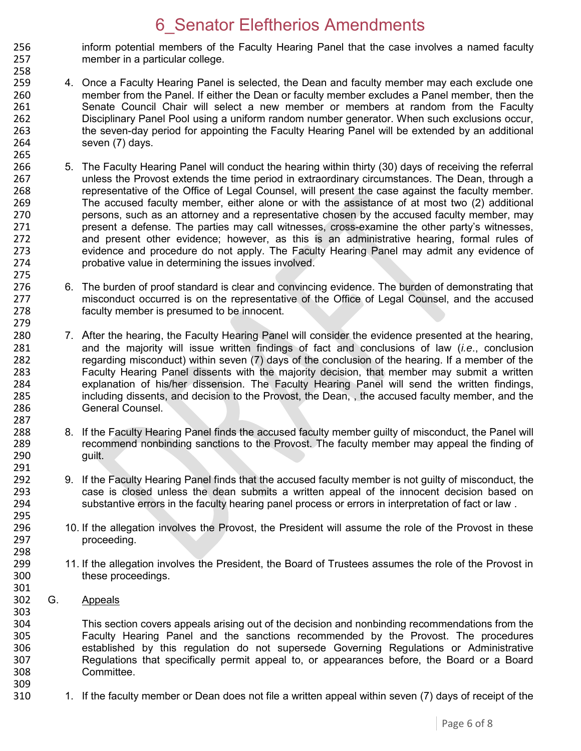- 256 inform potential members of the Faculty Hearing Panel that the case involves a named faculty<br>257 member in a particular college. member in a particular college.
- 258 259 4. Once a Faculty Hearing Panel is selected, the Dean and faculty member may each exclude one 260 member from the Panel. If either the Dean or faculty member excludes a Panel member, then the 261 Senate Council Chair will select a new member or members at random from the Faculty 262 Disciplinary Panel Pool using a uniform random number generator. When such exclusions occur, 263 the seven-day period for appointing the Faculty Hearing Panel will be extended by an additional 264 seven (7) days.
- 265<br>266 266 5. The Faculty Hearing Panel will conduct the hearing within thirty (30) days of receiving the referral 267 unless the Provost extends the time period in extraordinary circumstances. The Dean, through a 268 representative of the Office of Legal Counsel, will present the case against the faculty member.<br>269 The accused faculty member, either alone or with the assistance of at most two (2) additional 269 The accused faculty member, either alone or with the assistance of at most two (2) additional<br>270 series are attorney and a representative chosen by the accused faculty member, may 270 persons, such as an attorney and a representative chosen by the accused faculty member, may<br>271 present a defense. The parties may call witnesses, cross-examine the other party's witnesses. 271 present a defense. The parties may call witnesses, cross-examine the other party's witnesses, 272 and present other evidence; however, as this is an administrative hearing, formal rules of 273 evidence and procedure do not apply. The Faculty Hearing Panel may admit any evidence of 274 probative value in determining the issues involved.
- 6. The burden of proof standard is clear and convincing evidence. The burden of demonstrating that 277 misconduct occurred is on the representative of the Office of Legal Counsel, and the accused 278 faculty member is presumed to be innocent.
- 280 7. After the hearing, the Faculty Hearing Panel will consider the evidence presented at the hearing, 281 and the majority will issue written findings of fact and conclusions of law (*i.e*., conclusion 282 regarding misconduct) within seven (7) days of the conclusion of the hearing. If a member of the<br>283 Faculty Hearing Panel dissents with the maiority decision, that member may submit a written Faculty Hearing Panel dissents with the majority decision, that member may submit a written 284 explanation of his/her dissension. The Faculty Hearing Panel will send the written findings,<br>285 including dissents, and decision to the Provost, the Dean., the accused faculty member, and the including dissents, and decision to the Provost, the Dean, , the accused faculty member, and the 286 General Counsel.
- 288 8. If the Faculty Hearing Panel finds the accused faculty member guilty of misconduct, the Panel will<br>289 creammend nonbinding sanctions to the Provost. The faculty member may appeal the finding of 289 recommend nonbinding sanctions to the Provost. The faculty member may appeal the finding of 290 guilt.
- 9. If the Faculty Hearing Panel finds that the accused faculty member is not guilty of misconduct, the 293 case is closed unless the dean submits a written appeal of the innocent decision based on 294 substantive errors in the faculty hearing panel process or errors in interpretation of fact or law .
- 296 10. If the allegation involves the Provost, the President will assume the role of the Provost in these<br>297 **proceeding** proceeding.
- 299 11. If the allegation involves the President, the Board of Trustees assumes the role of the Provost in<br>300 these proceedings. these proceedings.
- 302 G. Appeals

275<br>276

279

287

291<br>292

295<br>296

298<br>299

301

303

304 This section covers appeals arising out of the decision and nonbinding recommendations from the<br>305 Faculty Hearing Panel and the sanctions recommended by the Provost. The procedures 305 Faculty Hearing Panel and the sanctions recommended by the Provost. The procedures<br>306 Setablished by this regulation do not supersede Governing Regulations or Administrative 306 established by this regulation do not supersede Governing Regulations or Administrative Regulations that specifically permit appeal to, or appearances before, the Board or a Board 308 Committee. 309

310 1. If the faculty member or Dean does not file a written appeal within seven (7) days of receipt of the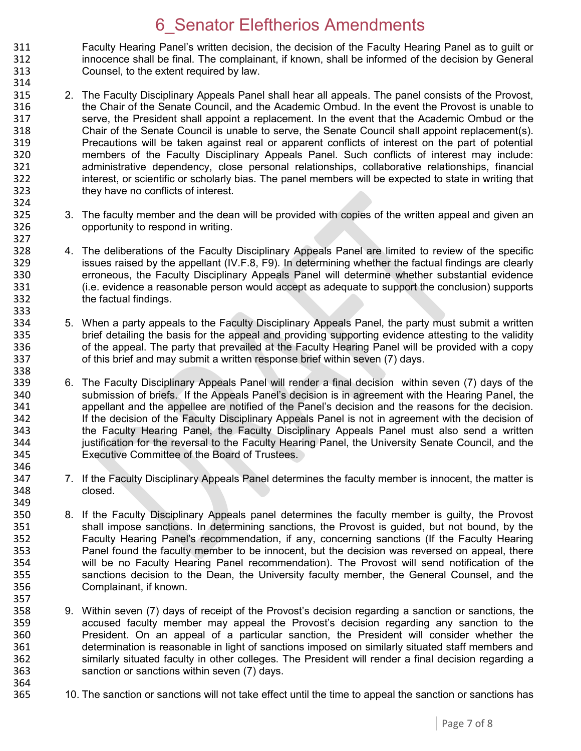311 Faculty Hearing Panel's written decision, the decision of the Faculty Hearing Panel as to guilt or 312 innocence shall be final. The complainant, if known, shall be informed of the decision by General innocence shall be final. The complainant, if known, shall be informed of the decision by General 313 Counsel, to the extent required by law. 314

- 315 2. The Faculty Disciplinary Appeals Panel shall hear all appeals. The panel consists of the Provost, 316 the Chair of the Senate Council, and the Academic Ombud. In the event the Provost is unable to 317 serve, the President shall appoint a replacement. In the event that the Academic Ombud or the 318 Senate Council is unable to serve, the Senate Council shall appoint replacement(s). Chair of the Senate Council is unable to serve, the Senate Council shall appoint replacement(s). 319 Precautions will be taken against real or apparent conflicts of interest on the part of potential 320 members of the Faculty Disciplinary Appeals Panel. Such conflicts of interest may include:<br>321 administrative dependency, close personal relationships, collaborative relationships, financial administrative dependency, close personal relationships, collaborative relationships, financial 322 interest, or scientific or scholarly bias. The panel members will be expected to state in writing that 323 they have no conflicts of interest.
- 324<br>325 325 3. The faculty member and the dean will be provided with copies of the written appeal and given an 326 opportunity to respond in writing.

327<br>328

338

357<br>358

364<br>365

- 328 4. The deliberations of the Faculty Disciplinary Appeals Panel are limited to review of the specific 329 issues raised by the appellant (IV.F.8, F9). In determining whether the factual findings are clearly 330 erroneous, the Faculty Disciplinary Appeals Panel will determine whether substantial evidence 331 (i.e. evidence a reasonable person would accept as adequate to support the conclusion) supports 332 the factual findings.
- 333<br>334 334 5. When a party appeals to the Faculty Disciplinary Appeals Panel, the party must submit a written<br>335 brief detailing the basis for the appeal and providing supporting evidence attesting to the validity 335 brief detailing the basis for the appeal and providing supporting evidence attesting to the validity<br>336 of the appeal. The party that prevailed at the Faculty Hearing Panel will be provided with a copy 336 of the appeal. The party that prevailed at the Faculty Hearing Panel will be provided with a copy 337 of this brief and may submit a written response brief within seven (7) days.
- 339 6. The Faculty Disciplinary Appeals Panel will render a final decision within seven (7) days of the 340 submission of briefs. If the Appeals Panel's decision is in agreement with the Hearing Panel, the 340 submission of briefs. If the Appeals Panel's decision is in agreement with the Hearing Panel, the<br>341 speellant and the appellee are notified of the Panel's decision and the reasons for the decision. 341 appellant and the appellee are notified of the Panel's decision and the reasons for the decision.<br>342 **1998 11: If the decision of the Faculty Disciplinary Appeals Panel is not in agreement with the decision of** If the decision of the Faculty Disciplinary Appeals Panel is not in agreement with the decision of 343 the Faculty Hearing Panel, the Faculty Disciplinary Appeals Panel must also send a written 344 justification for the reversal to the Faculty Hearing Panel, the University Senate Council, and the 345 Executive Committee of the Board of Trustees. 346
- 347 7. If the Faculty Disciplinary Appeals Panel determines the faculty member is innocent, the matter is 348 closed.
- 349<br>350 350 8. If the Faculty Disciplinary Appeals panel determines the faculty member is guilty, the Provost 351 shall impose sanctions. In determining sanctions, the Provost is guided, but not bound, by the shall impose sanctions. In determining sanctions, the Provost is guided, but not bound, by the 352 Faculty Hearing Panel's recommendation, if any, concerning sanctions (If the Faculty Hearing 353 Panel found the faculty member to be innocent, but the decision was reversed on appeal, there 354 will be no Faculty Hearing Panel recommendation). The Provost will send notification of the<br>355 Sanctions decision to the Dean, the University faculty member, the General Counsel, and the sanctions decision to the Dean, the University faculty member, the General Counsel, and the 356 Complainant, if known.
- 9. Within seven (7) days of receipt of the Provost's decision regarding a sanction or sanctions, the 359 accused faculty member may appeal the Provost's decision regarding any sanction to the 360 President. On an appeal of a particular sanction, the President will consider whether the 361 determination is reasonable in light of sanctions imposed on similarly situated staff members and 362 similarly situated faculty in other colleges. The President will render a final decision regarding a 363 sanction or sanctions within seven (7) days.
	- 10. The sanction or sanctions will not take effect until the time to appeal the sanction or sanctions has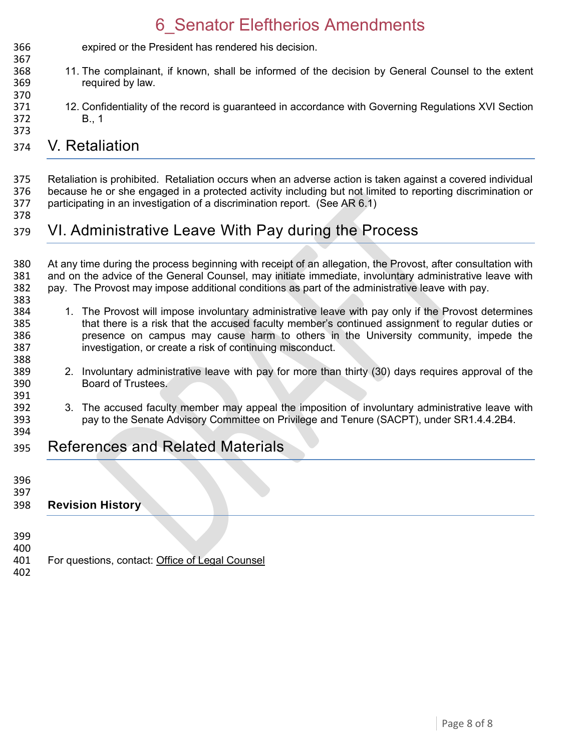expired or the President has rendered his decision. 11. The complainant, if known, shall be informed of the decision by General Counsel to the extent required by law. 

 12. Confidentiality of the record is guaranteed in accordance with Governing Regulations XVI Section B., 1 

#### V. Retaliation

 Retaliation is prohibited. Retaliation occurs when an adverse action is taken against a covered individual 376 because he or she engaged in a protected activity including but not limited to reporting discrimination or<br>377 participating in an investigation of a discrimination report. (See AR 6.1) participating in an investigation of a discrimination report. (See AR 6.1)

#### VI. Administrative Leave With Pay during the Process

380 At any time during the process beginning with receipt of an allegation, the Provost, after consultation with<br>381 and on the advice of the General Counsel, may initiate immediate, involuntary administrative leave with and on the advice of the General Counsel, may initiate immediate, involuntary administrative leave with pay. The Provost may impose additional conditions as part of the administrative leave with pay. 

- 384 1. The Provost will impose involuntary administrative leave with pay only if the Provost determines<br>385 that there is a risk that the accused faculty member's continued assignment to regular duties or that there is a risk that the accused faculty member's continued assignment to regular duties or presence on campus may cause harm to others in the University community, impede the investigation, or create a risk of continuing misconduct.
- 2. Involuntary administrative leave with pay for more than thirty (30) days requires approval of the Board of Trustees.
- 392 3. The accused faculty member may appeal the imposition of involuntary administrative leave with<br>393 servine Senate Advisory Committee on Privilege and Tenure (SACPT), under SR1.4.4.2B4. pay to the Senate Advisory Committee on Privilege and Tenure (SACPT), under SR1.4.4.2B4.
- References and Related Materials
- 

391<br>392

- 
- **Revision History**

 

- For questions, contact: [Office of Legal Counsel](mailto:LegalRegs@uky.edu)
-